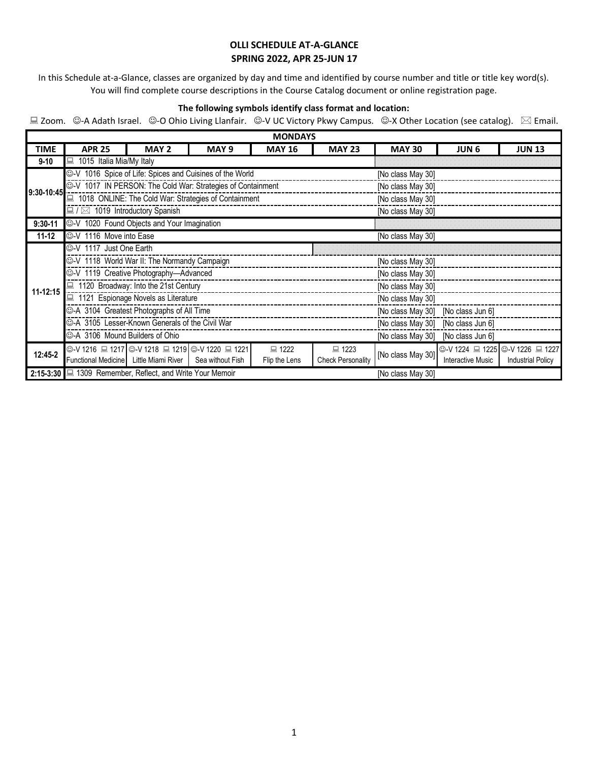In this Schedule at-a-Glance, classes are organized by day and time and identified by course number and title or title key word(s). You will find complete course descriptions in the Course Catalog document or online registration page.

#### **The following symbols identify class format and location:**

| <b>MONDAYS</b> |                                                                                                                                     |                                                                |                  |                   |                                    |                                    |                          |                                 |  |  |
|----------------|-------------------------------------------------------------------------------------------------------------------------------------|----------------------------------------------------------------|------------------|-------------------|------------------------------------|------------------------------------|--------------------------|---------------------------------|--|--|
| <b>TIME</b>    | <b>APR 25</b>                                                                                                                       | MAY 2                                                          | MAY <sub>9</sub> | <b>MAY 16</b>     | <b>MAY 23</b>                      | <b>MAY 30</b>                      | <b>JUN 6</b>             | <b>JUN 13</b>                   |  |  |
| $9 - 10$       | 1015 Italia Mia/My Italy<br>口                                                                                                       |                                                                |                  |                   |                                    |                                    |                          |                                 |  |  |
| 9:30-10:45     |                                                                                                                                     | C-V 1016 Spice of Life: Spices and Cuisines of the World       |                  | [No class May 30] |                                    |                                    |                          |                                 |  |  |
|                |                                                                                                                                     | C-V 1017 IN PERSON: The Cold War: Strategies of Containment    |                  | [No class May 30] |                                    |                                    |                          |                                 |  |  |
|                |                                                                                                                                     | 1018 ONLINE: The Cold War: Strategies of Containment           |                  | [No class May 30] |                                    |                                    |                          |                                 |  |  |
|                | $\Box$ / $\boxtimes$ 1019 Introductory Spanish                                                                                      |                                                                |                  |                   |                                    | [No class May 30]                  |                          |                                 |  |  |
| $9:30 - 11$    |                                                                                                                                     | C-V 1020 Found Objects and Your Imagination                    |                  |                   |                                    |                                    |                          |                                 |  |  |
| $11 - 12$      | C-V 1116 Move into Ease                                                                                                             |                                                                |                  |                   |                                    | [No class May 30]                  |                          |                                 |  |  |
|                | C-V 1117 Just One Earth                                                                                                             |                                                                |                  |                   |                                    |                                    |                          |                                 |  |  |
|                |                                                                                                                                     | ©-V 1118 World War II: The Normandy Campaign                   |                  | [No class May 30] |                                    |                                    |                          |                                 |  |  |
|                |                                                                                                                                     | ©-V 1119 Creative Photography-Advanced                         |                  | [No class May 30] |                                    |                                    |                          |                                 |  |  |
| 11-12:15       |                                                                                                                                     | 1120 Broadway: Into the 21st Century                           |                  | [No class May 30] |                                    |                                    |                          |                                 |  |  |
|                |                                                                                                                                     | 1121 Espionage Novels as Literature                            |                  | [No class May 30] |                                    |                                    |                          |                                 |  |  |
|                |                                                                                                                                     | C-A 3104 Greatest Photographs of All Time                      |                  |                   | [No class May 30] [No class Jun 6] |                                    |                          |                                 |  |  |
|                |                                                                                                                                     | C-A 3105 Lesser-Known Generals of the Civil War                |                  |                   | [No class May 30] [No class Jun 6] |                                    |                          |                                 |  |  |
|                | C-A 3106 Mound Builders of Ohio                                                                                                     |                                                                |                  |                   |                                    | [No class May 30] [No class Jun 6] |                          |                                 |  |  |
| $12:45-2$      |                                                                                                                                     | ©-V 1216 ■ 1217 ©-V 1218 ■ 1219 ©-V 1220 ■ 1221                |                  | ■ 1222            | ■ 1223                             | [No class May 30]                  |                          | ©-V 1224 ■ 1225 ©-V 1226 ■ 1227 |  |  |
|                | Functional Medicine Little Miami River<br><b>Check Personality</b><br>Sea without Fish<br><b>Interactive Music</b><br>Flip the Lens |                                                                |                  |                   |                                    |                                    | <b>Industrial Policy</b> |                                 |  |  |
|                |                                                                                                                                     | 2:15-3:30 $\Box$ 1309 Remember, Reflect, and Write Your Memoir |                  |                   |                                    | [No class May 30]                  |                          |                                 |  |  |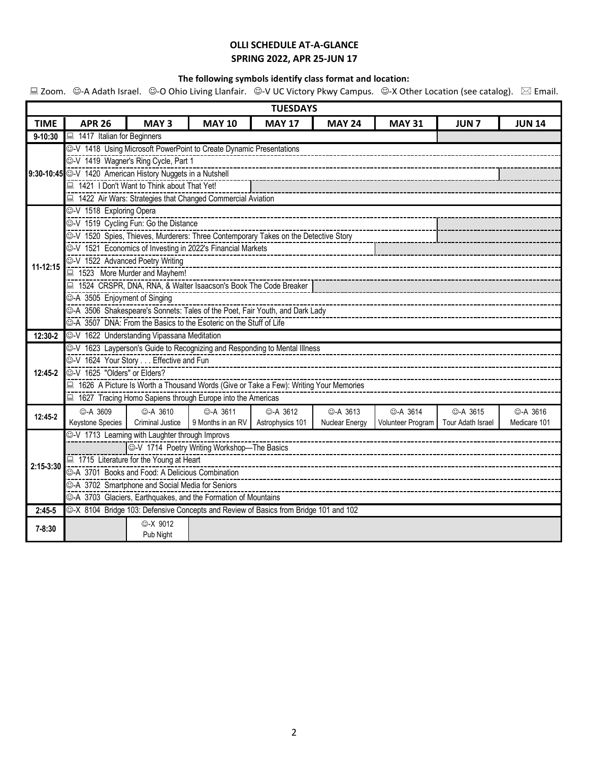### **The following symbols identify class format and location:**

| <b>TUESDAYS</b> |                                                                                        |                                                  |                                                                                      |                                        |                 |                   |                   |                 |  |  |  |
|-----------------|----------------------------------------------------------------------------------------|--------------------------------------------------|--------------------------------------------------------------------------------------|----------------------------------------|-----------------|-------------------|-------------------|-----------------|--|--|--|
| <b>TIME</b>     | <b>APR 26</b>                                                                          | MAY <sub>3</sub>                                 | <b>MAY 10</b>                                                                        | <b>MAY 17</b>                          | <b>MAY 24</b>   | <b>MAY 31</b>     | <b>JUN7</b>       | <b>JUN 14</b>   |  |  |  |
| $9 - 10:30$     | 1417 Italian for Beginners                                                             |                                                  |                                                                                      |                                        |                 |                   |                   |                 |  |  |  |
|                 | ©-V 1418 Using Microsoft PowerPoint to Create Dynamic Presentations                    |                                                  |                                                                                      |                                        |                 |                   |                   |                 |  |  |  |
|                 |                                                                                        | C-V 1419 Wagner's Ring Cycle, Part 1             |                                                                                      |                                        |                 |                   |                   |                 |  |  |  |
|                 | 9:30-10:45 C-V 1420 American History Nuggets in a Nutshell                             |                                                  |                                                                                      |                                        |                 |                   |                   |                 |  |  |  |
|                 |                                                                                        | 1421 I Don't Want to Think about That Yet!       |                                                                                      |                                        |                 |                   |                   |                 |  |  |  |
|                 | 1422 Air Wars: Strategies that Changed Commercial Aviation                             |                                                  |                                                                                      |                                        |                 |                   |                   |                 |  |  |  |
|                 | C-V 1518 Exploring Opera                                                               |                                                  |                                                                                      |                                        |                 |                   |                   |                 |  |  |  |
|                 | C-V 1519 Cycling Fun: Go the Distance                                                  |                                                  |                                                                                      |                                        |                 |                   |                   |                 |  |  |  |
|                 |                                                                                        |                                                  |                                                                                      |                                        |                 |                   |                   |                 |  |  |  |
|                 |                                                                                        |                                                  | <sup>2</sup> V 1521 Economics of Investing in 2022's Financial Markets               |                                        |                 |                   |                   |                 |  |  |  |
| $11 - 12:15$    | C-V 1522 Advanced Poetry Writing                                                       |                                                  |                                                                                      | -------------------------------------- |                 |                   |                   |                 |  |  |  |
|                 |                                                                                        | 1523 More Murder and Mayhem!                     |                                                                                      |                                        |                 |                   |                   |                 |  |  |  |
|                 |                                                                                        |                                                  | ■ 1524 CRSPR, DNA, RNA, & Walter Isaacson's Book The Code Breaker                    |                                        |                 |                   |                   |                 |  |  |  |
|                 |                                                                                        | C-A 3505 Enjoyment of Singing                    |                                                                                      |                                        |                 |                   |                   |                 |  |  |  |
|                 |                                                                                        |                                                  |                                                                                      |                                        |                 |                   |                   |                 |  |  |  |
|                 |                                                                                        |                                                  | ©-A 3507 DNA: From the Basics to the Esoteric on the Stuff of Life                   |                                        |                 |                   |                   |                 |  |  |  |
| $12:30-2$       | C-V 1622 Understanding Vipassana Meditation                                            |                                                  |                                                                                      |                                        |                 |                   |                   |                 |  |  |  |
|                 | C-V 1623 Layperson's Guide to Recognizing and Responding to Mental Illness             |                                                  |                                                                                      |                                        |                 |                   |                   |                 |  |  |  |
|                 | ©-V 1624 Your Story Effective and Fun                                                  |                                                  |                                                                                      |                                        |                 |                   |                   |                 |  |  |  |
| $12:45-2$       | C-V 1625 "Olders" or Elders?                                                           |                                                  |                                                                                      |                                        |                 |                   |                   |                 |  |  |  |
|                 | ■ 1626 A Picture Is Worth a Thousand Words (Give or Take a Few): Writing Your Memories |                                                  |                                                                                      |                                        |                 |                   |                   |                 |  |  |  |
|                 | ■ 1627 Tracing Homo Sapiens through Europe into the Americas                           |                                                  |                                                                                      |                                        |                 |                   |                   |                 |  |  |  |
| $12:45 - 2$     | <b>©-A 3609</b>                                                                        | <b>©-A 3610</b>                                  | <b>©-A 3611</b>                                                                      | <b>◎-A 3612</b>                        | <b>©-A 3613</b> | <b>©-A 3614</b>   | <b>©-A 3615</b>   | <b>©-A 3616</b> |  |  |  |
|                 | Keystone Species                                                                       |                                                  | Criminal Justice 9 Months in an RV                                                   | Astrophysics 101                       | Nuclear Energy  | Volunteer Program | Tour Adath Israel | Medicare 101    |  |  |  |
|                 | ©-V 1713 Learning with Laughter through Improvs                                        |                                                  |                                                                                      |                                        |                 |                   |                   |                 |  |  |  |
|                 |                                                                                        |                                                  |                                                                                      |                                        |                 |                   |                   |                 |  |  |  |
| 2:15-3:30       |                                                                                        | ■ 1715 Literature for the Young at Heart         |                                                                                      |                                        |                 |                   |                   |                 |  |  |  |
|                 |                                                                                        | C-A 3701 Books and Food: A Delicious Combination |                                                                                      |                                        |                 |                   |                   |                 |  |  |  |
|                 |                                                                                        | ©-A 3702 Smartphone and Social Media for Seniors |                                                                                      |                                        |                 |                   |                   |                 |  |  |  |
|                 |                                                                                        |                                                  | ©-A 3703 Glaciers, Earthquakes, and the Formation of Mountains                       |                                        |                 |                   |                   |                 |  |  |  |
| $2:45-5$        |                                                                                        |                                                  | ©-X 8104 Bridge 103: Defensive Concepts and Review of Basics from Bridge 101 and 102 |                                        |                 |                   |                   |                 |  |  |  |
| $7 - 8:30$      |                                                                                        | <b>☉-X 9012</b>                                  |                                                                                      |                                        |                 |                   |                   |                 |  |  |  |
|                 |                                                                                        | Pub Night                                        |                                                                                      |                                        |                 |                   |                   |                 |  |  |  |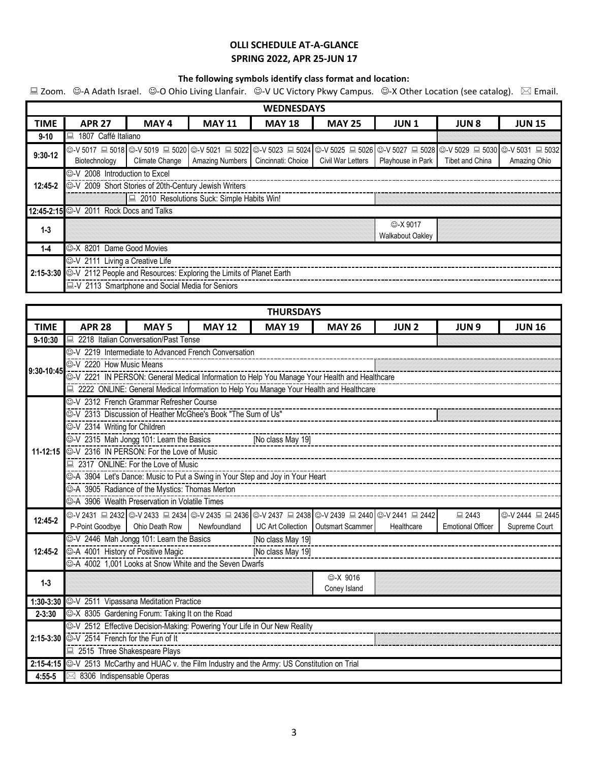### **The following symbols identify class format and location:**

| <b>WEDNESDAYS</b> |                                         |                                                                                                                                               |                        |                    |                   |                         |                 |               |  |  |  |  |
|-------------------|-----------------------------------------|-----------------------------------------------------------------------------------------------------------------------------------------------|------------------------|--------------------|-------------------|-------------------------|-----------------|---------------|--|--|--|--|
| <b>TIME</b>       | <b>APR 27</b>                           | MAY 4                                                                                                                                         | <b>MAY 11</b>          | <b>MAY 18</b>      | <b>MAY 25</b>     | <b>JUN1</b>             | <b>JUN 8</b>    | <b>JUN 15</b> |  |  |  |  |
| $9 - 10$          | 鳳<br>1807 Caffé Italiano                |                                                                                                                                               |                        |                    |                   |                         |                 |               |  |  |  |  |
| $9:30-12$         |                                         | ⓒ-V 5017 므 5018   ⓒ-V 5019 므 5020   ⓒ-V 5021 므 5022   ⓒ-V 5023 므 5024   ⓒ-V 5025 므 5026   ⓒ-V 5027 므 5028   ⓒ-V 5029 므 5030   ⓒ-V 5031 므 5032 |                        |                    |                   |                         |                 |               |  |  |  |  |
|                   | Biotechnology                           | Climate Change                                                                                                                                | <b>Amazing Numbers</b> | Cincinnati: Choice | Civil War Letters | Playhouse in Park       | Tibet and China | Amazing Ohio  |  |  |  |  |
|                   | C-V 2008 Introduction to Excel          |                                                                                                                                               |                        |                    |                   |                         |                 |               |  |  |  |  |
| $12:45-2$         |                                         | ©-V 2009 Short Stories of 20th-Century Jewish Writers                                                                                         |                        |                    |                   |                         |                 |               |  |  |  |  |
|                   |                                         | 2010 Resolutions Suck: Simple Habits Win!                                                                                                     |                        |                    |                   |                         |                 |               |  |  |  |  |
|                   | 12:45-2:15 ©-V 2011 Rock Docs and Talks |                                                                                                                                               |                        |                    |                   |                         |                 |               |  |  |  |  |
| $1 - 3$           |                                         |                                                                                                                                               |                        |                    |                   | ©-X 9017                |                 |               |  |  |  |  |
|                   |                                         |                                                                                                                                               |                        |                    |                   | <b>Walkabout Oakley</b> |                 |               |  |  |  |  |
| $1 - 4$           | C-X 8201 Dame Good Movies               |                                                                                                                                               |                        |                    |                   |                         |                 |               |  |  |  |  |
|                   | C-V 2111 Living a Creative Life         |                                                                                                                                               |                        |                    |                   |                         |                 |               |  |  |  |  |
|                   |                                         | 2:15-3:30 ©-V 2112 People and Resources: Exploring the Limits of Planet Earth                                                                 |                        |                    |                   |                         |                 |               |  |  |  |  |
|                   |                                         | LV 2113 Smartphone and Social Media for Seniors                                                                                               |                        |                    |                   |                         |                 |               |  |  |  |  |

| <b>THURSDAYS</b> |                                                                                                                    |                                                                           |               |                   |                                                                                                           |             |                          |                 |  |  |  |  |
|------------------|--------------------------------------------------------------------------------------------------------------------|---------------------------------------------------------------------------|---------------|-------------------|-----------------------------------------------------------------------------------------------------------|-------------|--------------------------|-----------------|--|--|--|--|
| <b>TIME</b>      | <b>APR 28</b>                                                                                                      | <b>MAY5</b>                                                               | <b>MAY 12</b> | <b>MAY 19</b>     | <b>MAY 26</b>                                                                                             | <b>JUN2</b> | <b>JUN9</b>              | <b>JUN 16</b>   |  |  |  |  |
| $9 - 10:30$      |                                                                                                                    | 2218 Italian Conversation/Past Tense                                      |               |                   |                                                                                                           |             |                          |                 |  |  |  |  |
|                  | C-V 2219 Intermediate to Advanced French Conversation                                                              |                                                                           |               |                   |                                                                                                           |             |                          |                 |  |  |  |  |
| 9:30-10:45       | C-V 2220 How Music Means                                                                                           |                                                                           |               |                   |                                                                                                           |             |                          |                 |  |  |  |  |
|                  | ©-V 2221 IN PERSON: General Medical Information to Help You Manage Your Health and Healthcare                      |                                                                           |               |                   |                                                                                                           |             |                          |                 |  |  |  |  |
|                  | □ 2222 ONLINE: General Medical Information to Help You Manage Your Health and Healthcare                           |                                                                           |               |                   |                                                                                                           |             |                          |                 |  |  |  |  |
|                  |                                                                                                                    | ©-V 2312 French Grammar Refresher Course                                  |               |                   |                                                                                                           |             |                          |                 |  |  |  |  |
|                  | C-V 2313 Discussion of Heather McGhee's Book "The Sum of Us"                                                       |                                                                           |               |                   |                                                                                                           |             |                          |                 |  |  |  |  |
|                  |                                                                                                                    | C-V 2314 Writing for Children                                             |               |                   |                                                                                                           |             |                          |                 |  |  |  |  |
|                  |                                                                                                                    | C-V 2315 Mah Jongg 101: Learn the Basics                                  |               | [No class May 19] |                                                                                                           |             |                          |                 |  |  |  |  |
|                  |                                                                                                                    | 11-12:15 WEB 2316 IN PERSON: For the Love of Music                        |               |                   |                                                                                                           |             |                          |                 |  |  |  |  |
|                  | 2317 ONLINE: For the Love of Music                                                                                 |                                                                           |               |                   |                                                                                                           |             |                          |                 |  |  |  |  |
|                  | ©-A 3904 Let's Dance: Music to Put a Swing in Your Step and Joy in Your Heart                                      |                                                                           |               |                   |                                                                                                           |             |                          |                 |  |  |  |  |
|                  |                                                                                                                    | ©-A 3905 Radiance of the Mystics: Thomas Merton                           |               |                   |                                                                                                           |             |                          |                 |  |  |  |  |
|                  |                                                                                                                    | ©-A 3906 Wealth Preservation in Volatile Times                            |               |                   |                                                                                                           |             |                          |                 |  |  |  |  |
| 12:45-2          |                                                                                                                    |                                                                           |               |                   | ⓒ-V 2431 므 2432   ⓒ-V 2433 므 2434   ⓒ-V 2435 므 2436   ⓒ-V 2437 므 2438   ☺-V 2439 므 2440   ☺-V 2441 므 2442 |             | ■ 2443                   | ©-V 2444 ■ 2445 |  |  |  |  |
|                  |                                                                                                                    | P-Point Goodbye   Ohio Death Row                                          | Newfoundland  |                   | UC Art Collection   Outsmart Scammer                                                                      | Healthcare  | <b>Emotional Officer</b> | Supreme Court   |  |  |  |  |
| $12:45-2$        |                                                                                                                    | C-V 2446 Mah Jongg 101: Learn the Basics                                  |               | [No class May 19] |                                                                                                           |             |                          |                 |  |  |  |  |
|                  | C-A 4001 History of Positive Magic<br>[No class May 19]<br>○ A 4002 1,001 Looks at Snow White and the Seven Dwarfs |                                                                           |               |                   |                                                                                                           |             |                          |                 |  |  |  |  |
|                  |                                                                                                                    |                                                                           |               |                   | <b>©-X 9016</b>                                                                                           |             |                          |                 |  |  |  |  |
| $1 - 3$          |                                                                                                                    |                                                                           |               |                   | Coney Island                                                                                              |             |                          |                 |  |  |  |  |
|                  | 1:30-3:30 C-V 2511 Vipassana Meditation Practice                                                                   |                                                                           |               |                   |                                                                                                           |             |                          |                 |  |  |  |  |
| $2 - 3:30$       |                                                                                                                    | C-X 8305 Gardening Forum: Taking It on the Road                           |               |                   |                                                                                                           |             |                          |                 |  |  |  |  |
|                  |                                                                                                                    | C-V 2512 Effective Decision-Making: Powering Your Life in Our New Reality |               |                   |                                                                                                           |             |                          |                 |  |  |  |  |
|                  | 2:15-3:30 $\odot$ -V 2514 French for the Fun of It                                                                 |                                                                           |               |                   |                                                                                                           |             |                          |                 |  |  |  |  |
|                  | 2515 Three Shakespeare Plays                                                                                       |                                                                           |               |                   |                                                                                                           |             |                          |                 |  |  |  |  |
|                  | 2:15-4:15 ©-V 2513 McCarthy and HUAC v. the Film Industry and the Army: US Constitution on Trial                   |                                                                           |               |                   |                                                                                                           |             |                          |                 |  |  |  |  |
| $4:55-5$         | 8306 Indispensable Operas<br>⊠                                                                                     |                                                                           |               |                   |                                                                                                           |             |                          |                 |  |  |  |  |